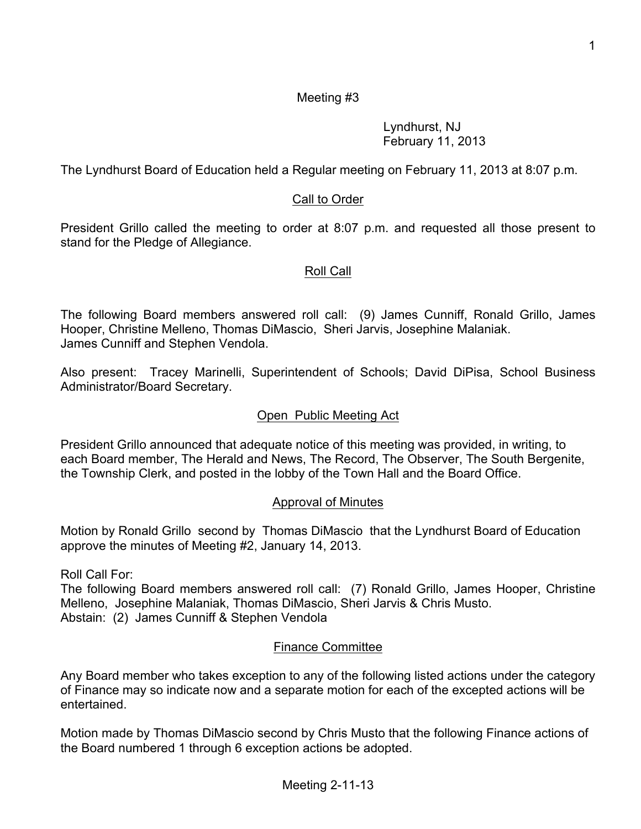# Meeting #3

Lyndhurst, NJ February 11, 2013

The Lyndhurst Board of Education held a Regular meeting on February 11, 2013 at 8:07 p.m.

# Call to Order

President Grillo called the meeting to order at 8:07 p.m. and requested all those present to stand for the Pledge of Allegiance.

#### Roll Call

The following Board members answered roll call: (9) James Cunniff, Ronald Grillo, James Hooper, Christine Melleno, Thomas DiMascio, Sheri Jarvis, Josephine Malaniak. James Cunniff and Stephen Vendola.

Also present: Tracey Marinelli, Superintendent of Schools; David DiPisa, School Business Administrator/Board Secretary.

#### Open Public Meeting Act

President Grillo announced that adequate notice of this meeting was provided, in writing, to each Board member, The Herald and News, The Record, The Observer, The South Bergenite, the Township Clerk, and posted in the lobby of the Town Hall and the Board Office.

#### Approval of Minutes

Motion by Ronald Grillo second by Thomas DiMascio that the Lyndhurst Board of Education approve the minutes of Meeting #2, January 14, 2013.

Roll Call For:

The following Board members answered roll call: (7) Ronald Grillo, James Hooper, Christine Melleno, Josephine Malaniak, Thomas DiMascio, Sheri Jarvis & Chris Musto. Abstain: (2) James Cunniff & Stephen Vendola

## Finance Committee

Any Board member who takes exception to any of the following listed actions under the category of Finance may so indicate now and a separate motion for each of the excepted actions will be entertained.

Motion made by Thomas DiMascio second by Chris Musto that the following Finance actions of the Board numbered 1 through 6 exception actions be adopted.

Meeting 2-11-13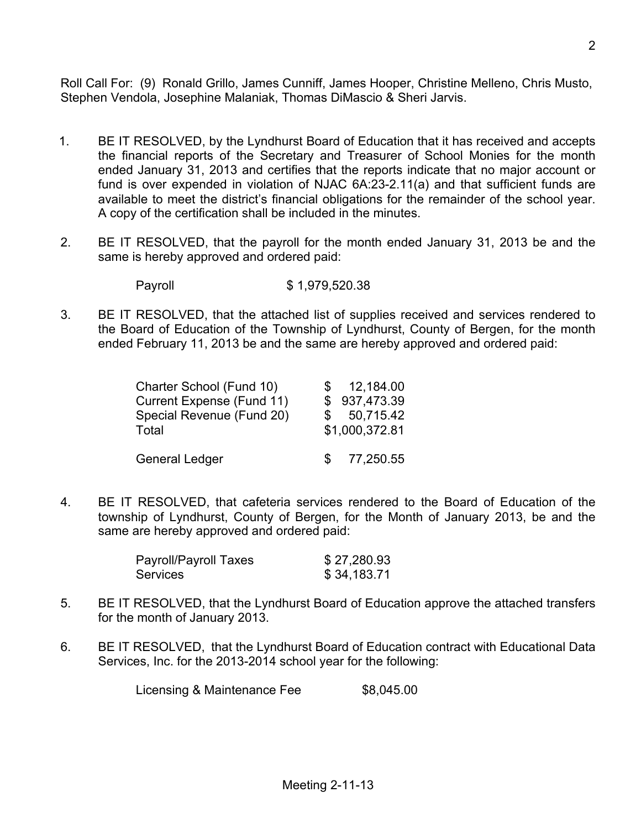Roll Call For: (9) Ronald Grillo, James Cunniff, James Hooper, Christine Melleno, Chris Musto, Stephen Vendola, Josephine Malaniak, Thomas DiMascio & Sheri Jarvis.

- 1. BE IT RESOLVED, by the Lyndhurst Board of Education that it has received and accepts the financial reports of the Secretary and Treasurer of School Monies for the month ended January 31, 2013 and certifies that the reports indicate that no major account or fund is over expended in violation of NJAC 6A:23-2.11(a) and that sufficient funds are available to meet the district's financial obligations for the remainder of the school year. A copy of the certification shall be included in the minutes.
- 2. BE IT RESOLVED, that the payroll for the month ended January 31, 2013 be and the same is hereby approved and ordered paid:

Payroll \$ 1,979,520.38

3. BE IT RESOLVED, that the attached list of supplies received and services rendered to the Board of Education of the Township of Lyndhurst, County of Bergen, for the month ended February 11, 2013 be and the same are hereby approved and ordered paid:

| Charter School (Fund 10)  |    | 12,184.00      |
|---------------------------|----|----------------|
| Current Expense (Fund 11) |    | \$937,473.39   |
| Special Revenue (Fund 20) | S. | 50,715.42      |
| Total                     |    | \$1,000,372.81 |
| <b>General Ledger</b>     | S. | 77,250.55      |

4. BE IT RESOLVED, that cafeteria services rendered to the Board of Education of the township of Lyndhurst, County of Bergen, for the Month of January 2013, be and the same are hereby approved and ordered paid:

| Payroll/Payroll Taxes | \$27,280.93 |
|-----------------------|-------------|
| Services              | \$34,183.71 |

- 5. BE IT RESOLVED, that the Lyndhurst Board of Education approve the attached transfers for the month of January 2013.
- 6. BE IT RESOLVED, that the Lyndhurst Board of Education contract with Educational Data Services, Inc. for the 2013-2014 school year for the following:

Licensing & Maintenance Fee \$8,045.00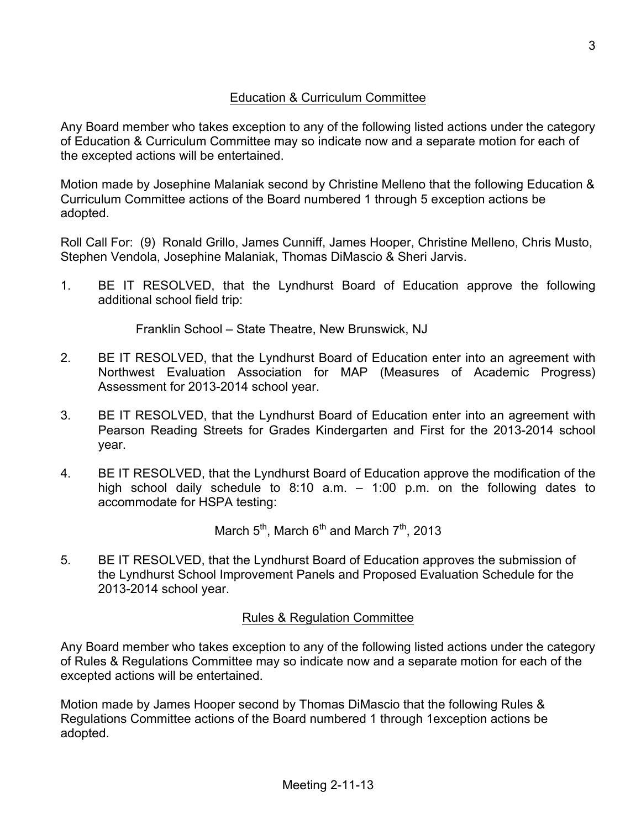Any Board member who takes exception to any of the following listed actions under the category of Education & Curriculum Committee may so indicate now and a separate motion for each of the excepted actions will be entertained.

Motion made by Josephine Malaniak second by Christine Melleno that the following Education & Curriculum Committee actions of the Board numbered 1 through 5 exception actions be adopted.

Roll Call For: (9) Ronald Grillo, James Cunniff, James Hooper, Christine Melleno, Chris Musto, Stephen Vendola, Josephine Malaniak, Thomas DiMascio & Sheri Jarvis.

1. BE IT RESOLVED, that the Lyndhurst Board of Education approve the following additional school field trip:

Franklin School – State Theatre, New Brunswick, NJ

- 2. BE IT RESOLVED, that the Lyndhurst Board of Education enter into an agreement with Northwest Evaluation Association for MAP (Measures of Academic Progress) Assessment for 2013-2014 school year.
- 3. BE IT RESOLVED, that the Lyndhurst Board of Education enter into an agreement with Pearson Reading Streets for Grades Kindergarten and First for the 2013-2014 school year.
- 4. BE IT RESOLVED, that the Lyndhurst Board of Education approve the modification of the high school daily schedule to 8:10 a.m. – 1:00 p.m. on the following dates to accommodate for HSPA testing:

March  $5^{th}$ , March  $6^{th}$  and March  $7^{th}$ , 2013

5. BE IT RESOLVED, that the Lyndhurst Board of Education approves the submission of the Lyndhurst School Improvement Panels and Proposed Evaluation Schedule for the 2013-2014 school year.

# Rules & Regulation Committee

Any Board member who takes exception to any of the following listed actions under the category of Rules & Regulations Committee may so indicate now and a separate motion for each of the excepted actions will be entertained.

Motion made by James Hooper second by Thomas DiMascio that the following Rules & Regulations Committee actions of the Board numbered 1 through 1exception actions be adopted.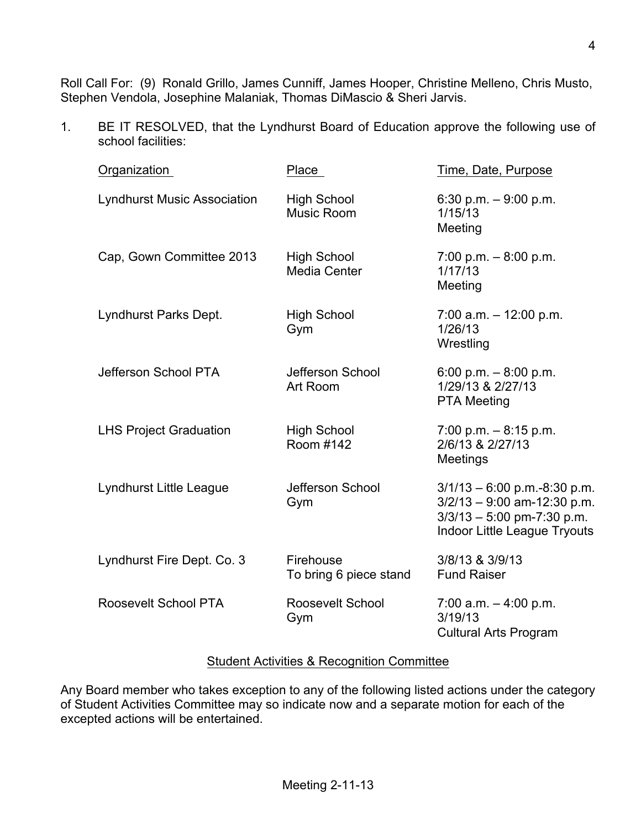Roll Call For: (9) Ronald Grillo, James Cunniff, James Hooper, Christine Melleno, Chris Musto, Stephen Vendola, Josephine Malaniak, Thomas DiMascio & Sheri Jarvis.

1. BE IT RESOLVED, that the Lyndhurst Board of Education approve the following use of school facilities:

| Organization                       | Place                                   | Time, Date, Purpose                                                                                                                    |
|------------------------------------|-----------------------------------------|----------------------------------------------------------------------------------------------------------------------------------------|
| <b>Lyndhurst Music Association</b> | <b>High School</b><br><b>Music Room</b> | 6:30 p.m. $-9:00$ p.m.<br>1/15/13<br>Meeting                                                                                           |
| Cap, Gown Committee 2013           | <b>High School</b><br>Media Center      | 7:00 p.m. $-8:00$ p.m.<br>1/17/13<br>Meeting                                                                                           |
| Lyndhurst Parks Dept.              | <b>High School</b><br>Gym               | $7:00$ a.m. $-12:00$ p.m.<br>1/26/13<br>Wrestling                                                                                      |
| Jefferson School PTA               | Jefferson School<br>Art Room            | 6:00 p.m. $-8:00$ p.m.<br>1/29/13 & 2/27/13<br><b>PTA Meeting</b>                                                                      |
| <b>LHS Project Graduation</b>      | <b>High School</b><br>Room #142         | $7:00$ p.m. $-8:15$ p.m.<br>2/6/13 & 2/27/13<br>Meetings                                                                               |
| Lyndhurst Little League            | Jefferson School<br>Gym                 | $3/1/13 - 6.00$ p.m.-8:30 p.m.<br>$3/2/13 - 9:00$ am-12:30 p.m.<br>$3/3/13 - 5:00$ pm-7:30 p.m.<br><b>Indoor Little League Tryouts</b> |
| Lyndhurst Fire Dept. Co. 3         | Firehouse<br>To bring 6 piece stand     | 3/8/13 & 3/9/13<br><b>Fund Raiser</b>                                                                                                  |
| Roosevelt School PTA               | Roosevelt School<br>Gym                 | $7:00$ a.m. $-4:00$ p.m.<br>3/19/13<br><b>Cultural Arts Program</b>                                                                    |

## Student Activities & Recognition Committee

Any Board member who takes exception to any of the following listed actions under the category of Student Activities Committee may so indicate now and a separate motion for each of the excepted actions will be entertained.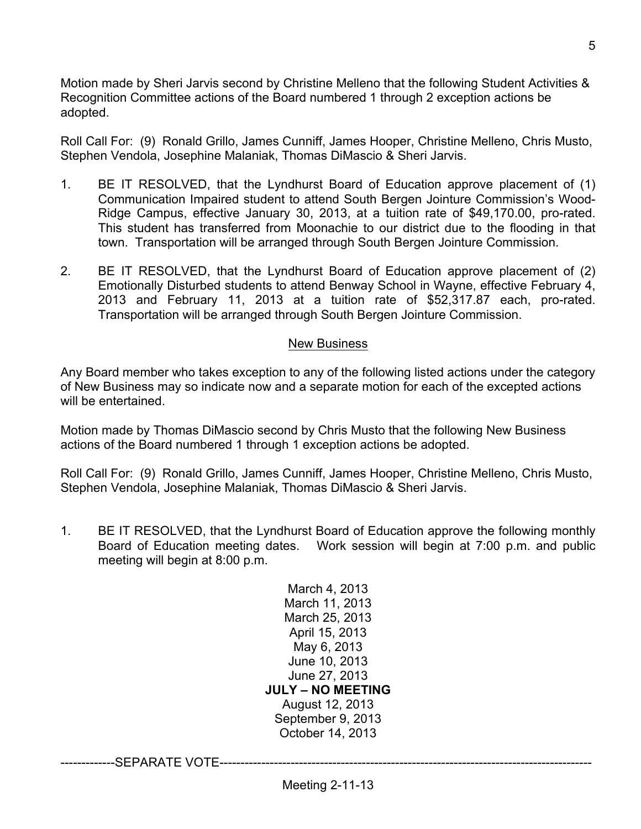Motion made by Sheri Jarvis second by Christine Melleno that the following Student Activities & Recognition Committee actions of the Board numbered 1 through 2 exception actions be adopted.

Roll Call For: (9) Ronald Grillo, James Cunniff, James Hooper, Christine Melleno, Chris Musto, Stephen Vendola, Josephine Malaniak, Thomas DiMascio & Sheri Jarvis.

- 1. BE IT RESOLVED, that the Lyndhurst Board of Education approve placement of (1) Communication Impaired student to attend South Bergen Jointure Commission's Wood-Ridge Campus, effective January 30, 2013, at a tuition rate of \$49,170.00, pro-rated. This student has transferred from Moonachie to our district due to the flooding in that town. Transportation will be arranged through South Bergen Jointure Commission.
- 2. BE IT RESOLVED, that the Lyndhurst Board of Education approve placement of (2) Emotionally Disturbed students to attend Benway School in Wayne, effective February 4, 2013 and February 11, 2013 at a tuition rate of \$52,317.87 each, pro-rated. Transportation will be arranged through South Bergen Jointure Commission.

#### New Business

Any Board member who takes exception to any of the following listed actions under the category of New Business may so indicate now and a separate motion for each of the excepted actions will be entertained.

Motion made by Thomas DiMascio second by Chris Musto that the following New Business actions of the Board numbered 1 through 1 exception actions be adopted.

Roll Call For: (9) Ronald Grillo, James Cunniff, James Hooper, Christine Melleno, Chris Musto, Stephen Vendola, Josephine Malaniak, Thomas DiMascio & Sheri Jarvis.

1. BE IT RESOLVED, that the Lyndhurst Board of Education approve the following monthly Board of Education meeting dates. Work session will begin at 7:00 p.m. and public meeting will begin at 8:00 p.m.

> March 4, 2013 March 11, 2013 March 25, 2013 April 15, 2013 May 6, 2013 June 10, 2013 June 27, 2013 **JULY – NO MEETING** August 12, 2013 September 9, 2013 October 14, 2013

-------------SEPARATE VOTE-----------------------------------------------------------------------------------------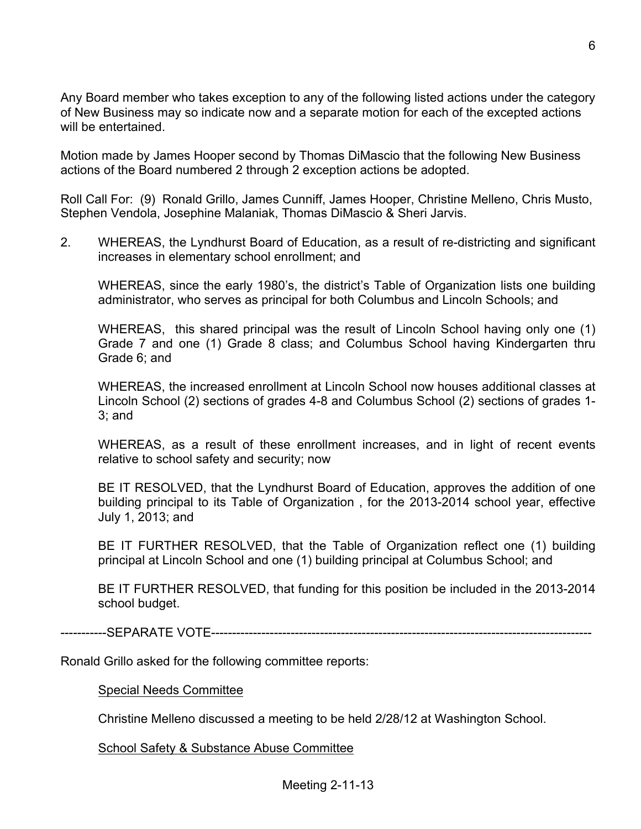Any Board member who takes exception to any of the following listed actions under the category of New Business may so indicate now and a separate motion for each of the excepted actions will be entertained.

Motion made by James Hooper second by Thomas DiMascio that the following New Business actions of the Board numbered 2 through 2 exception actions be adopted.

Roll Call For: (9) Ronald Grillo, James Cunniff, James Hooper, Christine Melleno, Chris Musto, Stephen Vendola, Josephine Malaniak, Thomas DiMascio & Sheri Jarvis.

2. WHEREAS, the Lyndhurst Board of Education, as a result of re-districting and significant increases in elementary school enrollment; and

WHEREAS, since the early 1980's, the district's Table of Organization lists one building administrator, who serves as principal for both Columbus and Lincoln Schools; and

WHEREAS, this shared principal was the result of Lincoln School having only one (1) Grade 7 and one (1) Grade 8 class; and Columbus School having Kindergarten thru Grade 6; and

WHEREAS, the increased enrollment at Lincoln School now houses additional classes at Lincoln School (2) sections of grades 4-8 and Columbus School (2) sections of grades 1- 3; and

WHEREAS, as a result of these enrollment increases, and in light of recent events relative to school safety and security; now

BE IT RESOLVED, that the Lyndhurst Board of Education, approves the addition of one building principal to its Table of Organization , for the 2013-2014 school year, effective July 1, 2013; and

BE IT FURTHER RESOLVED, that the Table of Organization reflect one (1) building principal at Lincoln School and one (1) building principal at Columbus School; and

BE IT FURTHER RESOLVED, that funding for this position be included in the 2013-2014 school budget.

-----------SEPARATE VOTE-------------------------------------------------------------------------------------------

Ronald Grillo asked for the following committee reports:

Special Needs Committee

Christine Melleno discussed a meeting to be held 2/28/12 at Washington School.

School Safety & Substance Abuse Committee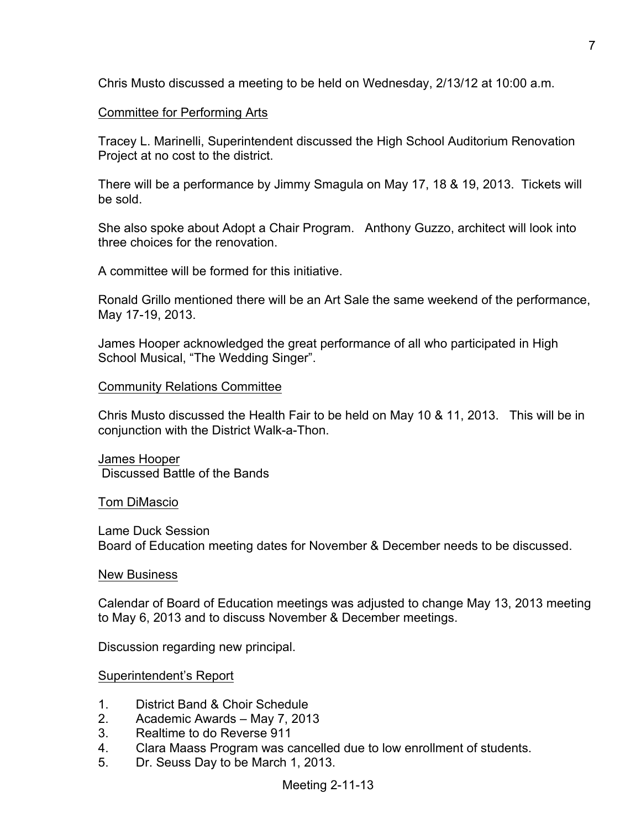Chris Musto discussed a meeting to be held on Wednesday, 2/13/12 at 10:00 a.m.

## Committee for Performing Arts

Tracey L. Marinelli, Superintendent discussed the High School Auditorium Renovation Project at no cost to the district.

There will be a performance by Jimmy Smagula on May 17, 18 & 19, 2013. Tickets will be sold.

She also spoke about Adopt a Chair Program. Anthony Guzzo, architect will look into three choices for the renovation.

A committee will be formed for this initiative.

Ronald Grillo mentioned there will be an Art Sale the same weekend of the performance, May 17-19, 2013.

James Hooper acknowledged the great performance of all who participated in High School Musical, "The Wedding Singer".

## Community Relations Committee

Chris Musto discussed the Health Fair to be held on May 10 & 11, 2013. This will be in conjunction with the District Walk-a-Thon.

James Hooper Discussed Battle of the Bands

## Tom DiMascio

Lame Duck Session Board of Education meeting dates for November & December needs to be discussed.

## New Business

Calendar of Board of Education meetings was adjusted to change May 13, 2013 meeting to May 6, 2013 and to discuss November & December meetings.

Discussion regarding new principal.

Superintendent's Report

- 1. District Band & Choir Schedule
- 2. Academic Awards May 7, 2013
- 3. Realtime to do Reverse 911
- 4. Clara Maass Program was cancelled due to low enrollment of students.
- 5. Dr. Seuss Day to be March 1, 2013.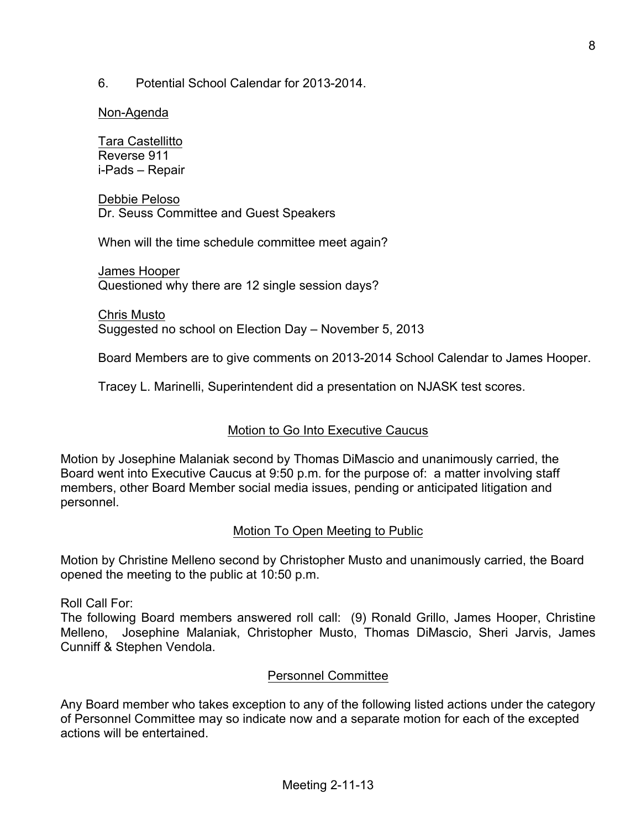6. Potential School Calendar for 2013-2014.

## Non-Agenda

Tara Castellitto Reverse 911 i-Pads – Repair

Debbie Peloso Dr. Seuss Committee and Guest Speakers

When will the time schedule committee meet again?

James Hooper Questioned why there are 12 single session days?

Chris Musto Suggested no school on Election Day – November 5, 2013

Board Members are to give comments on 2013-2014 School Calendar to James Hooper.

Tracey L. Marinelli, Superintendent did a presentation on NJASK test scores.

# Motion to Go Into Executive Caucus

Motion by Josephine Malaniak second by Thomas DiMascio and unanimously carried, the Board went into Executive Caucus at 9:50 p.m. for the purpose of: a matter involving staff members, other Board Member social media issues, pending or anticipated litigation and personnel.

# Motion To Open Meeting to Public

Motion by Christine Melleno second by Christopher Musto and unanimously carried, the Board opened the meeting to the public at 10:50 p.m.

Roll Call For:

The following Board members answered roll call: (9) Ronald Grillo, James Hooper, Christine Melleno, Josephine Malaniak, Christopher Musto, Thomas DiMascio, Sheri Jarvis, James Cunniff & Stephen Vendola.

## Personnel Committee

Any Board member who takes exception to any of the following listed actions under the category of Personnel Committee may so indicate now and a separate motion for each of the excepted actions will be entertained.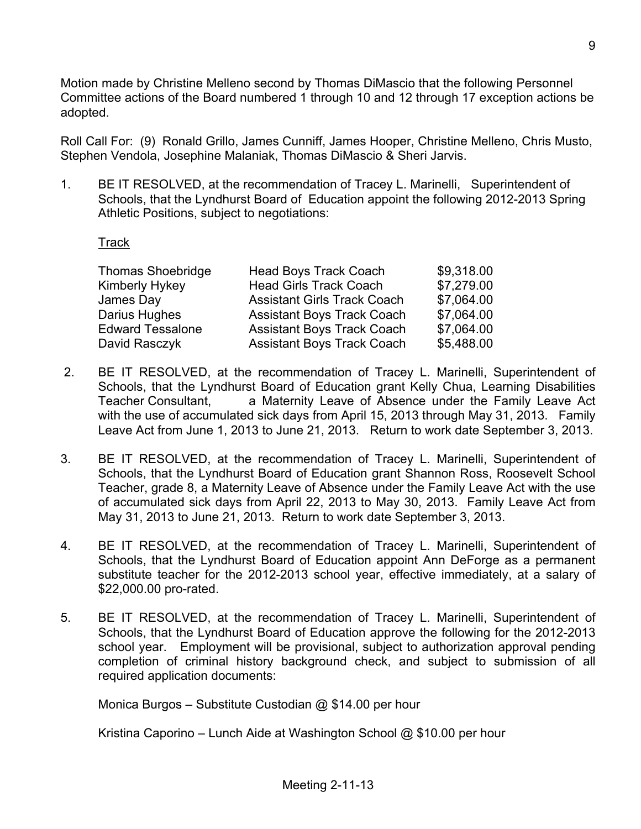Motion made by Christine Melleno second by Thomas DiMascio that the following Personnel Committee actions of the Board numbered 1 through 10 and 12 through 17 exception actions be adopted.

Roll Call For: (9) Ronald Grillo, James Cunniff, James Hooper, Christine Melleno, Chris Musto, Stephen Vendola, Josephine Malaniak, Thomas DiMascio & Sheri Jarvis.

1. BE IT RESOLVED, at the recommendation of Tracey L. Marinelli, Superintendent of Schools, that the Lyndhurst Board of Education appoint the following 2012-2013 Spring Athletic Positions, subject to negotiations:

**Track** 

| <b>Thomas Shoebridge</b> | <b>Head Boys Track Coach</b>       | \$9,318.00 |
|--------------------------|------------------------------------|------------|
| Kimberly Hykey           | <b>Head Girls Track Coach</b>      | \$7,279.00 |
| James Day                | <b>Assistant Girls Track Coach</b> | \$7,064.00 |
| Darius Hughes            | <b>Assistant Boys Track Coach</b>  | \$7,064.00 |
| <b>Edward Tessalone</b>  | <b>Assistant Boys Track Coach</b>  | \$7,064.00 |
| David Rasczyk            | <b>Assistant Boys Track Coach</b>  | \$5,488.00 |

- 2. BE IT RESOLVED, at the recommendation of Tracey L. Marinelli, Superintendent of Schools, that the Lyndhurst Board of Education grant Kelly Chua, Learning Disabilities Teacher Consultant, a Maternity Leave of Absence under the Family Leave Act with the use of accumulated sick days from April 15, 2013 through May 31, 2013. Family Leave Act from June 1, 2013 to June 21, 2013. Return to work date September 3, 2013.
- 3. BE IT RESOLVED, at the recommendation of Tracey L. Marinelli, Superintendent of Schools, that the Lyndhurst Board of Education grant Shannon Ross, Roosevelt School Teacher, grade 8, a Maternity Leave of Absence under the Family Leave Act with the use of accumulated sick days from April 22, 2013 to May 30, 2013. Family Leave Act from May 31, 2013 to June 21, 2013. Return to work date September 3, 2013.
- 4. BE IT RESOLVED, at the recommendation of Tracey L. Marinelli, Superintendent of Schools, that the Lyndhurst Board of Education appoint Ann DeForge as a permanent substitute teacher for the 2012-2013 school year, effective immediately, at a salary of \$22,000.00 pro-rated.
- 5. BE IT RESOLVED, at the recommendation of Tracey L. Marinelli, Superintendent of Schools, that the Lyndhurst Board of Education approve the following for the 2012-2013 school year. Employment will be provisional, subject to authorization approval pending completion of criminal history background check, and subject to submission of all required application documents:

Monica Burgos – Substitute Custodian @ \$14.00 per hour

Kristina Caporino – Lunch Aide at Washington School @ \$10.00 per hour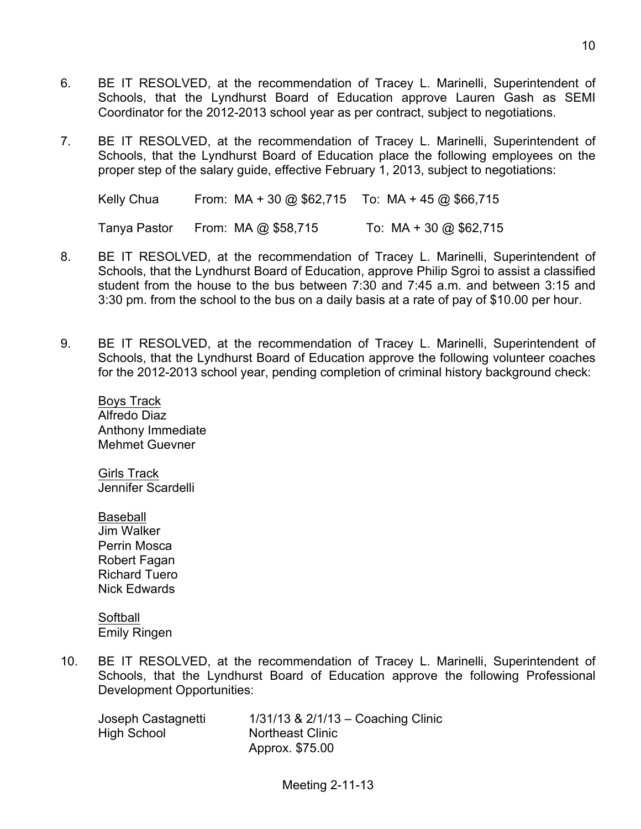- 6. BE IT RESOLVED, at the recommendation of Tracey L. Marinelli, Superintendent of Schools, that the Lyndhurst Board of Education approve Lauren Gash as SEMI Coordinator for the 2012-2013 school year as per contract, subject to negotiations.
- 7. BE IT RESOLVED, at the recommendation of Tracey L. Marinelli, Superintendent of Schools, that the Lyndhurst Board of Education place the following employees on the proper step of the salary guide, effective February 1, 2013, subject to negotiations:

Kelly Chua From: MA + 30 @ \$62,715 To: MA + 45 @ \$66,715 Tanya Pastor From: MA @ \$58,715 To: MA + 30 @ \$62,715

- 8. BE IT RESOLVED, at the recommendation of Tracey L. Marinelli, Superintendent of Schools, that the Lyndhurst Board of Education, approve Philip Sgroi to assist a classified student from the house to the bus between 7:30 and 7:45 a.m. and between 3:15 and 3:30 pm. from the school to the bus on a daily basis at a rate of pay of \$10.00 per hour.
- 9. BE IT RESOLVED, at the recommendation of Tracey L. Marinelli, Superintendent of Schools, that the Lyndhurst Board of Education approve the following volunteer coaches for the 2012-2013 school year, pending completion of criminal history background check:

Boys Track Alfredo Diaz Anthony Immediate Mehmet Guevner

Girls Track Jennifer Scardelli

Baseball Jim Walker Perrin Mosca Robert Fagan Richard Tuero Nick Edwards

**Softball** Emily Ringen

10. BE IT RESOLVED, at the recommendation of Tracey L. Marinelli, Superintendent of Schools, that the Lyndhurst Board of Education approve the following Professional Development Opportunities:

High School Northeast Clinic

Joseph Castagnetti 1/31/13 & 2/1/13 – Coaching Clinic Approx. \$75.00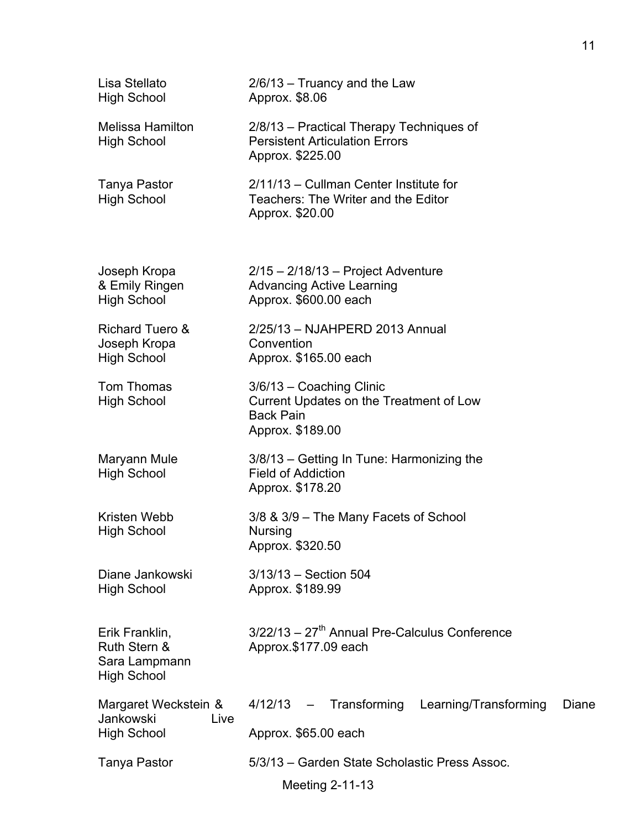| Lisa Stellato<br><b>High School</b>                                   | $2/6/13$ – Truancy and the Law<br>Approx. \$8.06                                                            |       |
|-----------------------------------------------------------------------|-------------------------------------------------------------------------------------------------------------|-------|
| <b>Melissa Hamilton</b><br><b>High School</b>                         | 2/8/13 - Practical Therapy Techniques of<br><b>Persistent Articulation Errors</b><br>Approx. \$225.00       |       |
| Tanya Pastor<br><b>High School</b>                                    | 2/11/13 - Cullman Center Institute for<br>Teachers: The Writer and the Editor<br>Approx. \$20.00            |       |
| Joseph Kropa<br>& Emily Ringen<br><b>High School</b>                  | $2/15 - 2/18/13$ – Project Adventure<br><b>Advancing Active Learning</b><br>Approx. \$600.00 each           |       |
| <b>Richard Tuero &amp;</b><br>Joseph Kropa<br><b>High School</b>      | 2/25/13 - NJAHPERD 2013 Annual<br>Convention<br>Approx. \$165.00 each                                       |       |
| Tom Thomas<br><b>High School</b>                                      | 3/6/13 - Coaching Clinic<br>Current Updates on the Treatment of Low<br><b>Back Pain</b><br>Approx. \$189.00 |       |
| Maryann Mule<br><b>High School</b>                                    | 3/8/13 – Getting In Tune: Harmonizing the<br><b>Field of Addiction</b><br>Approx. \$178.20                  |       |
| Kristen Webb<br><b>High School</b>                                    | 3/8 & 3/9 - The Many Facets of School<br>Nursing<br>Approx. \$320.50                                        |       |
| Diane Jankowski<br><b>High School</b>                                 | 3/13/13 - Section 504<br>Approx. \$189.99                                                                   |       |
| Erik Franklin,<br>Ruth Stern &<br>Sara Lampmann<br><b>High School</b> | $3/22/13 - 27$ <sup>th</sup> Annual Pre-Calculus Conference<br>Approx.\$177.09 each                         |       |
| Margaret Weckstein &<br>Jankowski<br>Live<br><b>High School</b>       | Transforming<br>Learning/Transforming<br>4/12/13<br>$\overline{\phantom{m}}$<br>Approx. \$65.00 each        | Diane |
| <b>Tanya Pastor</b>                                                   | 5/3/13 - Garden State Scholastic Press Assoc.<br>Meeting 2-11-13                                            |       |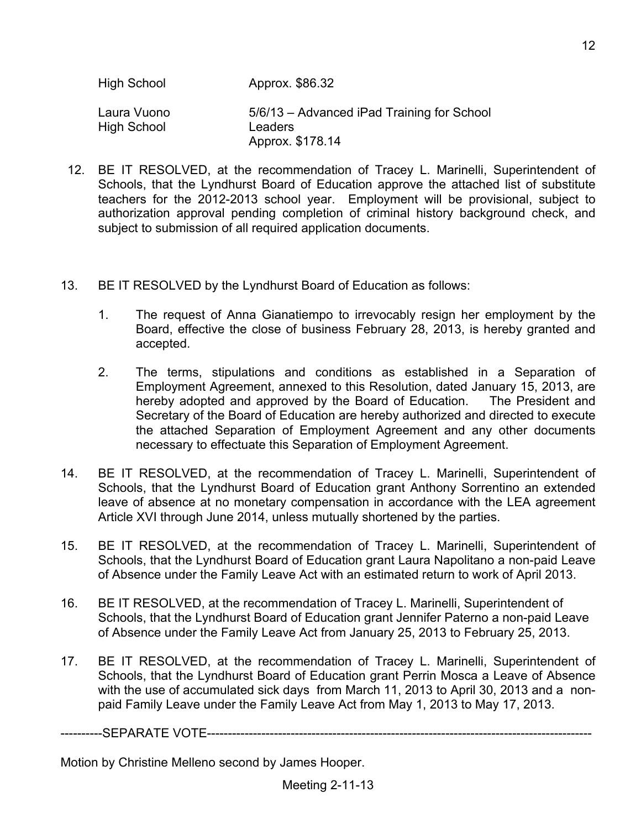- 12. BE IT RESOLVED, at the recommendation of Tracey L. Marinelli, Superintendent of Schools, that the Lyndhurst Board of Education approve the attached list of substitute teachers for the 2012-2013 school year. Employment will be provisional, subject to authorization approval pending completion of criminal history background check, and subject to submission of all required application documents.
- 13. BE IT RESOLVED by the Lyndhurst Board of Education as follows:
	- 1. The request of Anna Gianatiempo to irrevocably resign her employment by the Board, effective the close of business February 28, 2013, is hereby granted and accepted.
	- 2. The terms, stipulations and conditions as established in a Separation of Employment Agreement, annexed to this Resolution, dated January 15, 2013, are hereby adopted and approved by the Board of Education. The President and Secretary of the Board of Education are hereby authorized and directed to execute the attached Separation of Employment Agreement and any other documents necessary to effectuate this Separation of Employment Agreement.
- 14. BE IT RESOLVED, at the recommendation of Tracey L. Marinelli, Superintendent of Schools, that the Lyndhurst Board of Education grant Anthony Sorrentino an extended leave of absence at no monetary compensation in accordance with the LEA agreement Article XVI through June 2014, unless mutually shortened by the parties.
- 15. BE IT RESOLVED, at the recommendation of Tracey L. Marinelli, Superintendent of Schools, that the Lyndhurst Board of Education grant Laura Napolitano a non-paid Leave of Absence under the Family Leave Act with an estimated return to work of April 2013.
- 16. BE IT RESOLVED, at the recommendation of Tracey L. Marinelli, Superintendent of Schools, that the Lyndhurst Board of Education grant Jennifer Paterno a non-paid Leave of Absence under the Family Leave Act from January 25, 2013 to February 25, 2013.
- 17. BE IT RESOLVED, at the recommendation of Tracey L. Marinelli, Superintendent of Schools, that the Lyndhurst Board of Education grant Perrin Mosca a Leave of Absence with the use of accumulated sick days from March 11, 2013 to April 30, 2013 and a nonpaid Family Leave under the Family Leave Act from May 1, 2013 to May 17, 2013.

----------SEPARATE VOTE--------------------------------------------------------------------------------------------

Motion by Christine Melleno second by James Hooper.

12